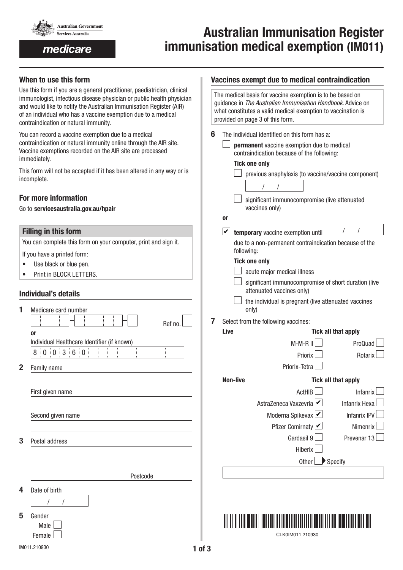

medicare

# Australian Immunisation Register immunisation medical exemption (IM011)

## When to use this form

Use this form if you are a general practitioner, paediatrician, clinical immunologist, infectious disease physician or public health physician and would like to notify the Australian Immunisation Register (AIR) of an individual who has a vaccine exemption due to a medical contraindication or natural immunity.

You can record a vaccine exemption due to a medical contraindication or natural immunity online through the AIR site. Vaccine exemptions recorded on the AIR site are processed immediately.

This form will not be accepted if it has been altered in any way or is incomplete.

## For more information

#### Go to servicesaustralia.gov.au/hpair

#### Filling in this form

You can complete this form on your computer, print and sign it.

If you have a printed form:

- Use black or blue pen.
- Print in BLOCK LETTERS.

## Individual's details

| 1            | Medicare card number                                 |
|--------------|------------------------------------------------------|
|              | Ref no.                                              |
|              | or                                                   |
|              | Individual Healthcare Identifier (if known)          |
|              | $\mathbf{3}$<br>6:0<br>$\overline{0}$<br>8<br>0<br>ł |
| $\mathbf{2}$ | Family name                                          |
|              |                                                      |
|              | First given name                                     |
|              |                                                      |
|              | Second given name                                    |
|              |                                                      |
| 3            | Postal address                                       |
|              |                                                      |
|              |                                                      |
|              | Postcode                                             |
| 4            | Date of birth                                        |
|              |                                                      |
| 5            | Gender                                               |
|              | Male                                                 |

#### Vaccines exempt due to medical contraindication

|   |                                                                                                                                                                   | The medical basis for vaccine exemption is to be based on<br>guidance in The Australian Immunisation Handbook. Advice on<br>what constitutes a valid medical exemption to vaccination is<br>provided on page 3 of this form. |                                                                                                                  |  |  |  |  |
|---|-------------------------------------------------------------------------------------------------------------------------------------------------------------------|------------------------------------------------------------------------------------------------------------------------------------------------------------------------------------------------------------------------------|------------------------------------------------------------------------------------------------------------------|--|--|--|--|
| 6 | The individual identified on this form has a:<br>permanent vaccine exemption due to medical<br>contraindication because of the following:<br><b>Tick one only</b> |                                                                                                                                                                                                                              |                                                                                                                  |  |  |  |  |
|   |                                                                                                                                                                   | previous anaphylaxis (to vaccine/vaccine component)<br>T<br>significant immunocompromise (live attenuated<br>vaccines only)                                                                                                  |                                                                                                                  |  |  |  |  |
|   | 0r                                                                                                                                                                | <b>L</b> temporary vaccine exemption until<br>due to a non-permanent contraindication because of the<br>following:                                                                                                           | $\frac{1}{2}$                                                                                                    |  |  |  |  |
|   | significant immunocompromise of short duration (live<br>the individual is pregnant (live attenuated vaccines                                                      |                                                                                                                                                                                                                              |                                                                                                                  |  |  |  |  |
| 7 | Select from the following vaccines:<br>Live                                                                                                                       | <b>Tick all that apply</b>                                                                                                                                                                                                   |                                                                                                                  |  |  |  |  |
|   |                                                                                                                                                                   | M-M-R II<br>Priorix<br>Priorix-Tetra                                                                                                                                                                                         | ProQuad<br>Rotarix                                                                                               |  |  |  |  |
|   | <b>Non-live</b>                                                                                                                                                   | ActHIB  <br>AstraZeneca Vaxzevria $\overline{\mathcal{V}}$<br>Moderna Spikevax  <br>Pfizer Comirnaty L<br>Gardasil 9<br>Hiberix                                                                                              | <b>Tick all that apply</b><br>Infanrix<br><b>Infanrix Hexa</b><br><b>Infanrix IPV</b><br>Nimenrix<br>Prevenar 13 |  |  |  |  |
|   |                                                                                                                                                                   | Other                                                                                                                                                                                                                        | Specify                                                                                                          |  |  |  |  |



CLK0IM011 210930

Female  $\Box$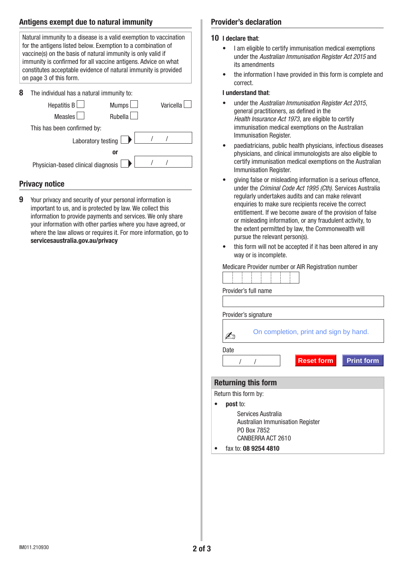## Antigens exempt due to natural immunity

| Natural immunity to a disease is a valid exemption to vaccination<br>for the antigens listed below. Exemption to a combination of<br>vaccine(s) on the basis of natural immunity is only valid if<br>immunity is confirmed for all vaccine antigens. Advice on what<br>constitutes acceptable evidence of natural immunity is provided<br>on page 3 of this form. |  |  |  |  |  |  |  |
|-------------------------------------------------------------------------------------------------------------------------------------------------------------------------------------------------------------------------------------------------------------------------------------------------------------------------------------------------------------------|--|--|--|--|--|--|--|
| 8<br>The individual has a natural immunity to:<br><b>Hepatitis B</b><br><b>Mumps</b><br>Varicella<br><b>Measles</b><br><b>Rubella</b>                                                                                                                                                                                                                             |  |  |  |  |  |  |  |
| This has been confirmed by:                                                                                                                                                                                                                                                                                                                                       |  |  |  |  |  |  |  |
| Laboratory testing                                                                                                                                                                                                                                                                                                                                                |  |  |  |  |  |  |  |
| or                                                                                                                                                                                                                                                                                                                                                                |  |  |  |  |  |  |  |
| Physician-based clinical diagnosis                                                                                                                                                                                                                                                                                                                                |  |  |  |  |  |  |  |
|                                                                                                                                                                                                                                                                                                                                                                   |  |  |  |  |  |  |  |

## Privacy notice

9 Your privacy and security of your personal information is important to us, and is protected by law. We collect this information to provide payments and services. We only share your information with other parties where you have agreed, or where the law allows or requires it. For more information, go to servicesaustralia.gov.au/privacy

#### Provider's declaration

#### 10 I declare that:

- I am eligible to certify immunisation medical exemptions under the *Australian Immunisation Register Act 2015* and its amendments
- the information I have provided in this form is complete and correct.

#### I understand that:

- under the *Australian Immunisation Register Act 2015*, general practitioners, as defined in the *Health Insurance Act 1973*, are eligible to certify immunisation medical exemptions on the Australian Immunisation Register.
- paediatricians, public health physicians, infectious diseases physicians, and clinical immunologists are also eligible to certify immunisation medical exemptions on the Australian Immunisation Register.
- giving false or misleading information is a serious offence, under the *Criminal Code Act 1995 (Cth)*. Services Australia regularly undertakes audits and can make relevant enquiries to make sure recipients receive the correct entitlement. If we become aware of the provision of false or misleading information, or any fraudulent activity, to the extent permitted by law, the Commonwealth will pursue the relevant person(s).
- this form will not be accepted if it has been altered in any way or is incomplete.

|  |  |  |  | Medicare Provider number or AIR Registration number |  |
|--|--|--|--|-----------------------------------------------------|--|
|  |  |  |  |                                                     |  |
|  |  |  |  |                                                     |  |
|  |  |  |  |                                                     |  |
|  |  |  |  |                                                     |  |
|  |  |  |  |                                                     |  |
|  |  |  |  |                                                     |  |
|  |  |  |  |                                                     |  |

| Provider's full name                                                                       |
|--------------------------------------------------------------------------------------------|
|                                                                                            |
| Provider's signature                                                                       |
| On completion, print and sign by hand.                                                     |
| Date                                                                                       |
| Reset form<br><b>Print form</b>                                                            |
|                                                                                            |
| <b>Returning this form</b>                                                                 |
| Return this form by:                                                                       |
| <b>post</b> to:                                                                            |
| Services Australia<br>Australian Immunisation Register<br>PO Box 7852<br>CANBERRA ACT 2610 |
| fax to: 08 9254 4810                                                                       |